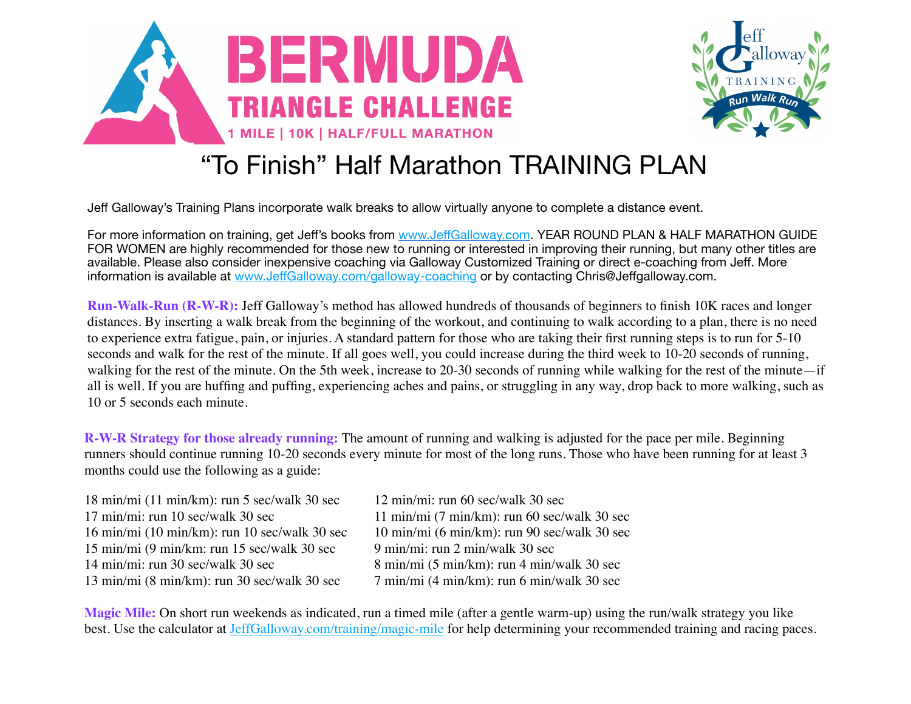



## "To Finish" Half Marathon TRAINING PLAN

Jeff Galloway's Training Plans incorporate walk breaks to allow virtually anyone to complete a distance event.

For more information on training, get Jeff's books from www.Jeff[Galloway.com.](http://www.jeffgalloway.com/) YEAR ROUND PLAN & HALF MARATHON GUIDE FOR WOMEN are highly recommended for those new to running or interested in improving their running, but many other titles are available. Please also consider inexpensive coaching via Galloway Customized Training or direct e-coaching from Jeff. More information is available at www.Jeff[Galloway.com/galloway-coaching](http://www.jeffgalloway.com/galloway-coaching) or by contacting Chris@Jeffgalloway.com.

**Run-Walk-Run (R-W-R):** Jeff Galloway's method has allowed hundreds of thousands of beginners to finish 10K races and longer distances. By inserting a walk break from the beginning of the workout, and continuing to walk according to a plan, there is no need to experience extra fatigue, pain, or injuries. A standard pattern for those who are taking their first running steps is to run for 5-10 seconds and walk for the rest of the minute. If all goes well, you could increase during the third week to 10-20 seconds of running, walking for the rest of the minute. On the 5th week, increase to 20-30 seconds of running while walking for the rest of the minute—if all is well. If you are huffing and puffing, experiencing aches and pains, or struggling in any way, drop back to more walking, such as 10 or 5 seconds each minute.

**R-W-R Strategy for those already running:** The amount of running and walking is adjusted for the pace per mile. Beginning runners should continue running 10-20 seconds every minute for most of the long runs. Those who have been running for at least 3 months could use the following as a guide:

18 min/mi (11 min/km): run 5 sec/walk 30 sec 12 min/mi: run 60 sec/walk 30 sec  $17 \text{ min/min}$ : run  $10 \text{ sec/walk } 30 \text{ sec}$   $11 \text{ min/min } (7 \text{ min/km})$ : run  $60 \text{ sec/walk } 30 \text{ sec}$ 16 min/mi (10 min/km): run 10 sec/walk 30 sec 10 min/mi (6 min/km): run 90 sec/walk 30 sec 15 min/mi (9 min/km: run 15 sec/walk 30 sec 9 min/mi: run 2 min/walk 30 sec 14 min/mi: run 30 sec/walk 30 sec  $\frac{8 \text{ min}}{\text{ min}}$  (5 min/km): run 4 min/walk 30 sec 13 min/mi (8 min/km): run 30 sec/walk 30 sec 7 min/mi (4 min/km): run 6 min/walk 30 sec

**Magic Mile:** On short run weekends as indicated, run a timed mile (after a gentle warm-up) using the run/walk strategy you like best. Use the calculator at [JeffGalloway.com/training/magic-mile](http://JeffGalloway.com/training/magic-mile) for help determining your recommended training and racing paces.